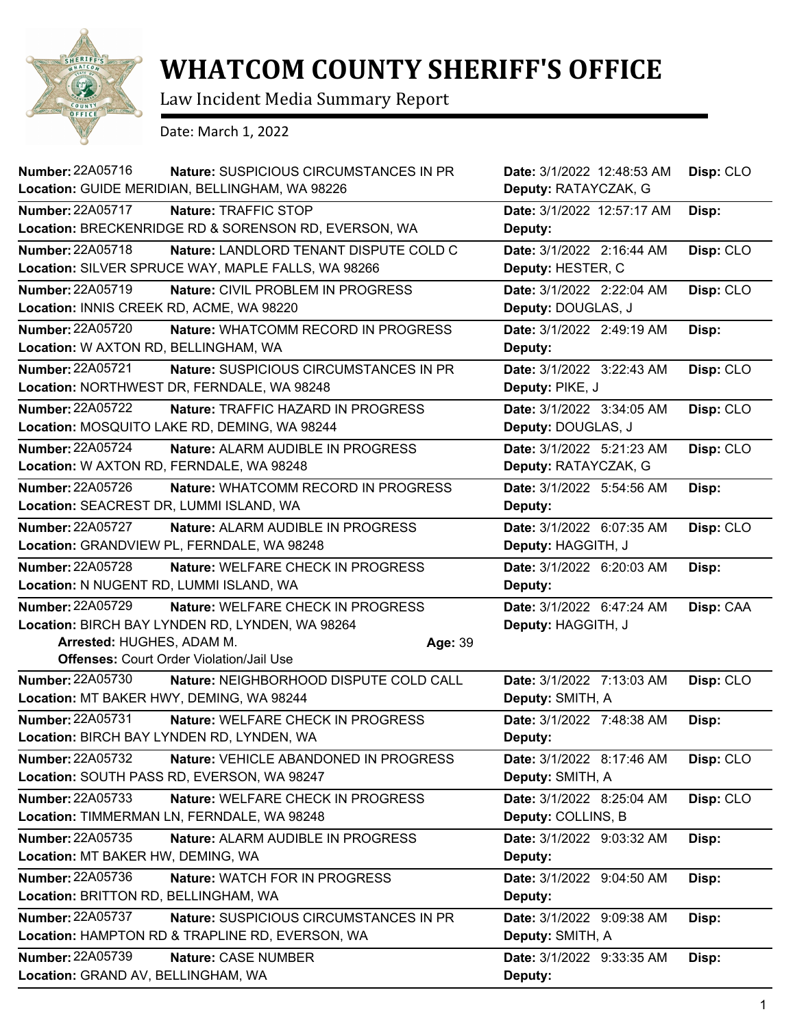

## **WHATCOM COUNTY SHERIFF'S OFFICE**

Law Incident Media Summary Report

Date: March 1, 2022

| <b>Number: 22A05716</b>                  | Nature: SUSPICIOUS CIRCUMSTANCES IN PR<br>Location: GUIDE MERIDIAN, BELLINGHAM, WA 98226 | Date: 3/1/2022 12:48:53 AM<br>Deputy: RATAYCZAK, G | Disp: CLO |
|------------------------------------------|------------------------------------------------------------------------------------------|----------------------------------------------------|-----------|
| Number: 22A05717                         | Nature: TRAFFIC STOP                                                                     | Date: 3/1/2022 12:57:17 AM                         | Disp:     |
|                                          | Location: BRECKENRIDGE RD & SORENSON RD, EVERSON, WA                                     | Deputy:                                            |           |
| Number: 22A05718                         | Nature: LANDLORD TENANT DISPUTE COLD C                                                   | Date: 3/1/2022 2:16:44 AM                          | Disp: CLO |
|                                          | Location: SILVER SPRUCE WAY, MAPLE FALLS, WA 98266                                       | Deputy: HESTER, C                                  |           |
| <b>Number: 22A05719</b>                  | Nature: CIVIL PROBLEM IN PROGRESS                                                        | Date: 3/1/2022 2:22:04 AM                          | Disp: CLO |
| Location: INNIS CREEK RD, ACME, WA 98220 |                                                                                          | Deputy: DOUGLAS, J                                 |           |
| <b>Number: 22A05720</b>                  | Nature: WHATCOMM RECORD IN PROGRESS                                                      | Date: 3/1/2022 2:49:19 AM                          | Disp:     |
| Location: W AXTON RD, BELLINGHAM, WA     |                                                                                          | Deputy:                                            |           |
| <b>Number: 22A05721</b>                  | Nature: SUSPICIOUS CIRCUMSTANCES IN PR                                                   | Date: 3/1/2022 3:22:43 AM                          | Disp: CLO |
|                                          | Location: NORTHWEST DR, FERNDALE, WA 98248                                               | Deputy: PIKE, J                                    |           |
| <b>Number: 22A05722</b>                  | <b>Nature: TRAFFIC HAZARD IN PROGRESS</b>                                                | Date: 3/1/2022 3:34:05 AM                          | Disp: CLO |
|                                          | Location: MOSQUITO LAKE RD, DEMING, WA 98244                                             | Deputy: DOUGLAS, J                                 |           |
| Number: 22A05724                         | Nature: ALARM AUDIBLE IN PROGRESS                                                        | Date: 3/1/2022 5:21:23 AM                          | Disp: CLO |
| Location: W AXTON RD, FERNDALE, WA 98248 |                                                                                          | Deputy: RATAYCZAK, G                               |           |
| Number: 22A05726                         | Nature: WHATCOMM RECORD IN PROGRESS                                                      | Date: 3/1/2022 5:54:56 AM                          | Disp:     |
| Location: SEACREST DR, LUMMI ISLAND, WA  |                                                                                          | Deputy:                                            |           |
| <b>Number: 22A05727</b>                  | Nature: ALARM AUDIBLE IN PROGRESS                                                        | Date: 3/1/2022 6:07:35 AM                          | Disp: CLO |
|                                          | Location: GRANDVIEW PL, FERNDALE, WA 98248                                               | Deputy: HAGGITH, J                                 |           |
| <b>Number: 22A05728</b>                  | Nature: WELFARE CHECK IN PROGRESS                                                        | Date: 3/1/2022 6:20:03 AM                          | Disp:     |
| Location: N NUGENT RD, LUMMI ISLAND, WA  |                                                                                          | Deputy:                                            |           |
| <b>Number: 22A05729</b>                  | Nature: WELFARE CHECK IN PROGRESS                                                        | Date: 3/1/2022 6:47:24 AM                          | Disp: CAA |
|                                          | Location: BIRCH BAY LYNDEN RD, LYNDEN, WA 98264                                          | Deputy: HAGGITH, J                                 |           |
| Arrested: HUGHES, ADAM M.                | Age: 39                                                                                  |                                                    |           |
|                                          | <b>Offenses: Court Order Violation/Jail Use</b>                                          |                                                    |           |
| <b>Number: 22A05730</b>                  | Nature: NEIGHBORHOOD DISPUTE COLD CALL                                                   | Date: 3/1/2022 7:13:03 AM                          | Disp: CLO |
| Location: MT BAKER HWY, DEMING, WA 98244 |                                                                                          | Deputy: SMITH, A                                   |           |
| <b>Number: 22A05731</b>                  | Nature: WELFARE CHECK IN PROGRESS                                                        | Date: 3/1/2022 7:48:38 AM                          | Disp:     |
|                                          | Location: BIRCH BAY LYNDEN RD, LYNDEN, WA                                                | Deputy:                                            |           |
| Number: 22A05732                         | Nature: VEHICLE ABANDONED IN PROGRESS                                                    | Date: 3/1/2022 8:17:46 AM                          | Disp: CLO |
|                                          | Location: SOUTH PASS RD, EVERSON, WA 98247                                               | Deputy: SMITH, A                                   |           |
| Number: 22A05733                         | Nature: WELFARE CHECK IN PROGRESS                                                        | Date: 3/1/2022 8:25:04 AM                          | Disp: CLO |
|                                          | Location: TIMMERMAN LN, FERNDALE, WA 98248                                               | Deputy: COLLINS, B                                 |           |
| <b>Number: 22A05735</b>                  | Nature: ALARM AUDIBLE IN PROGRESS                                                        | Date: 3/1/2022 9:03:32 AM                          | Disp:     |
| Location: MT BAKER HW, DEMING, WA        |                                                                                          | Deputy:                                            |           |
| Number: 22A05736                         | Nature: WATCH FOR IN PROGRESS                                                            | Date: 3/1/2022 9:04:50 AM                          | Disp:     |
| Location: BRITTON RD, BELLINGHAM, WA     |                                                                                          | Deputy:                                            |           |
| <b>Number: 22A05737</b>                  | Nature: SUSPICIOUS CIRCUMSTANCES IN PR                                                   | Date: 3/1/2022 9:09:38 AM                          | Disp:     |
|                                          | Location: HAMPTON RD & TRAPLINE RD, EVERSON, WA                                          | Deputy: SMITH, A                                   |           |
| Number: 22A05739                         | Nature: CASE NUMBER                                                                      | Date: 3/1/2022 9:33:35 AM                          | Disp:     |
| Location: GRAND AV, BELLINGHAM, WA       |                                                                                          | Deputy:                                            |           |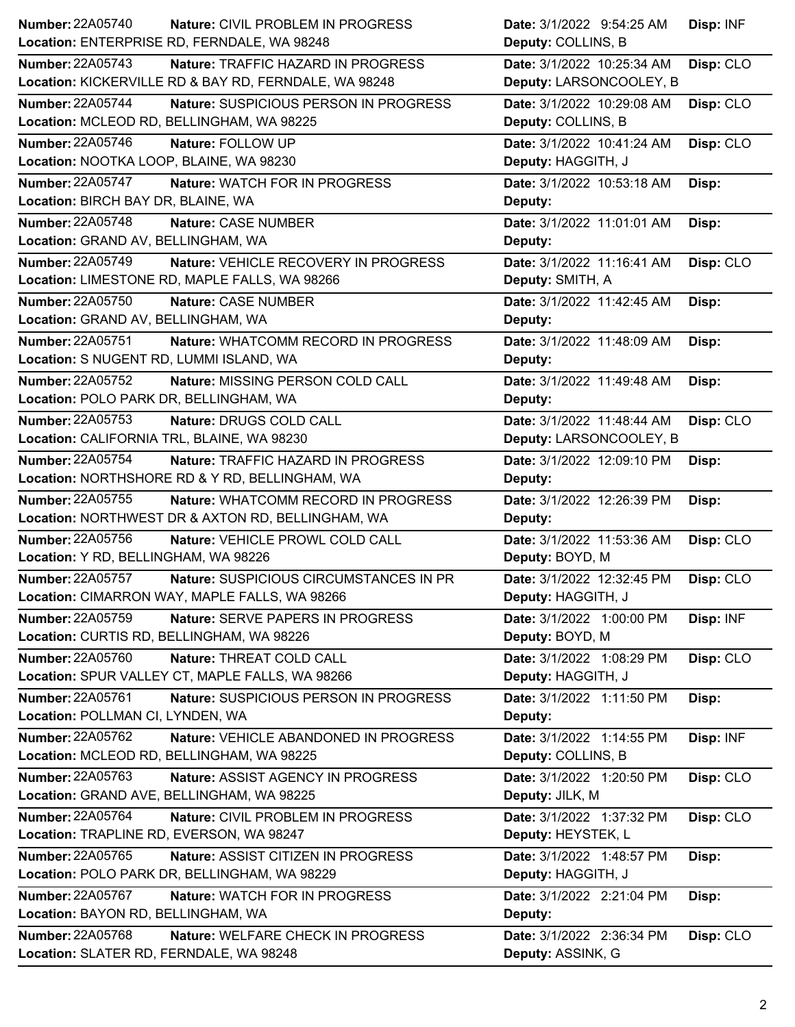| <b>Number: 22A05740</b>                    | <b>Nature: CIVIL PROBLEM IN PROGRESS</b>              | Date: 3/1/2022 9:54:25 AM  | Disp: INF |
|--------------------------------------------|-------------------------------------------------------|----------------------------|-----------|
|                                            | Location: ENTERPRISE RD, FERNDALE, WA 98248           | Deputy: COLLINS, B         |           |
| Number: 22A05743                           | Nature: TRAFFIC HAZARD IN PROGRESS                    | Date: 3/1/2022 10:25:34 AM | Disp: CLO |
|                                            | Location: KICKERVILLE RD & BAY RD, FERNDALE, WA 98248 | Deputy: LARSONCOOLEY, B    |           |
| <b>Number: 22A05744</b>                    | Nature: SUSPICIOUS PERSON IN PROGRESS                 | Date: 3/1/2022 10:29:08 AM | Disp: CLO |
|                                            | Location: MCLEOD RD, BELLINGHAM, WA 98225             | Deputy: COLLINS, B         |           |
| <b>Number: 22A05746</b>                    | Nature: FOLLOW UP                                     | Date: 3/1/2022 10:41:24 AM | Disp: CLO |
| Location: NOOTKA LOOP, BLAINE, WA 98230    |                                                       | Deputy: HAGGITH, J         |           |
| <b>Number: 22A05747</b>                    | Nature: WATCH FOR IN PROGRESS                         | Date: 3/1/2022 10:53:18 AM | Disp:     |
| Location: BIRCH BAY DR, BLAINE, WA         |                                                       | Deputy:                    |           |
| Number: 22A05748                           | Nature: CASE NUMBER                                   | Date: 3/1/2022 11:01:01 AM | Disp:     |
| Location: GRAND AV, BELLINGHAM, WA         |                                                       | Deputy:                    |           |
| Number: 22A05749                           | Nature: VEHICLE RECOVERY IN PROGRESS                  | Date: 3/1/2022 11:16:41 AM | Disp: CLO |
|                                            | Location: LIMESTONE RD, MAPLE FALLS, WA 98266         | Deputy: SMITH, A           |           |
| Number: 22A05750                           | Nature: CASE NUMBER                                   | Date: 3/1/2022 11:42:45 AM | Disp:     |
| Location: GRAND AV, BELLINGHAM, WA         |                                                       | Deputy:                    |           |
| Number: 22A05751                           | Nature: WHATCOMM RECORD IN PROGRESS                   | Date: 3/1/2022 11:48:09 AM | Disp:     |
| Location: S NUGENT RD, LUMMI ISLAND, WA    |                                                       | Deputy:                    |           |
| Number: 22A05752                           | Nature: MISSING PERSON COLD CALL                      | Date: 3/1/2022 11:49:48 AM | Disp:     |
| Location: POLO PARK DR, BELLINGHAM, WA     |                                                       | Deputy:                    |           |
| <b>Number: 22A05753</b>                    | Nature: DRUGS COLD CALL                               | Date: 3/1/2022 11:48:44 AM | Disp: CLO |
| Location: CALIFORNIA TRL, BLAINE, WA 98230 |                                                       | Deputy: LARSONCOOLEY, B    |           |
| Number: 22A05754                           | Nature: TRAFFIC HAZARD IN PROGRESS                    | Date: 3/1/2022 12:09:10 PM | Disp:     |
|                                            | Location: NORTHSHORE RD & Y RD, BELLINGHAM, WA        | Deputy:                    |           |
|                                            |                                                       |                            |           |
| <b>Number: 22A05755</b>                    | Nature: WHATCOMM RECORD IN PROGRESS                   | Date: 3/1/2022 12:26:39 PM | Disp:     |
|                                            | Location: NORTHWEST DR & AXTON RD, BELLINGHAM, WA     | Deputy:                    |           |
| Number: 22A05756                           | Nature: VEHICLE PROWL COLD CALL                       | Date: 3/1/2022 11:53:36 AM | Disp: CLO |
| Location: Y RD, BELLINGHAM, WA 98226       |                                                       | Deputy: BOYD, M            |           |
| Number: 22A05757                           | Nature: SUSPICIOUS CIRCUMSTANCES IN PR                | Date: 3/1/2022 12:32:45 PM | Disp: CLO |
|                                            | Location: CIMARRON WAY, MAPLE FALLS, WA 98266         | Deputy: HAGGITH, J         |           |
| <b>Number: 22A05759</b>                    | Nature: SERVE PAPERS IN PROGRESS                      | Date: 3/1/2022 1:00:00 PM  | Disp: INF |
| Location: CURTIS RD, BELLINGHAM, WA 98226  |                                                       | Deputy: BOYD, M            |           |
| <b>Number: 22A05760</b>                    | Nature: THREAT COLD CALL                              | Date: 3/1/2022 1:08:29 PM  | Disp: CLO |
|                                            | Location: SPUR VALLEY CT, MAPLE FALLS, WA 98266       | Deputy: HAGGITH, J         |           |
| Number: 22A05761                           | Nature: SUSPICIOUS PERSON IN PROGRESS                 | Date: 3/1/2022 1:11:50 PM  | Disp:     |
| Location: POLLMAN CI, LYNDEN, WA           |                                                       | Deputy:                    |           |
| Number: 22A05762                           | Nature: VEHICLE ABANDONED IN PROGRESS                 | Date: 3/1/2022 1:14:55 PM  | Disp: INF |
|                                            | Location: MCLEOD RD, BELLINGHAM, WA 98225             | Deputy: COLLINS, B         |           |
| Number: 22A05763                           | Nature: ASSIST AGENCY IN PROGRESS                     | Date: 3/1/2022 1:20:50 PM  | Disp: CLO |
|                                            | Location: GRAND AVE, BELLINGHAM, WA 98225             | Deputy: JILK, M            |           |
| Number: 22A05764                           | Nature: CIVIL PROBLEM IN PROGRESS                     | Date: 3/1/2022 1:37:32 PM  | Disp: CLO |
| Location: TRAPLINE RD, EVERSON, WA 98247   |                                                       | Deputy: HEYSTEK, L         |           |
| Number: 22A05765                           | Nature: ASSIST CITIZEN IN PROGRESS                    | Date: 3/1/2022 1:48:57 PM  | Disp:     |
|                                            | Location: POLO PARK DR, BELLINGHAM, WA 98229          | Deputy: HAGGITH, J         |           |
| <b>Number: 22A05767</b>                    | Nature: WATCH FOR IN PROGRESS                         | Date: 3/1/2022 2:21:04 PM  | Disp:     |
| Location: BAYON RD, BELLINGHAM, WA         |                                                       | Deputy:                    |           |
| <b>Number: 22A05768</b>                    | Nature: WELFARE CHECK IN PROGRESS                     | Date: 3/1/2022 2:36:34 PM  | Disp: CLO |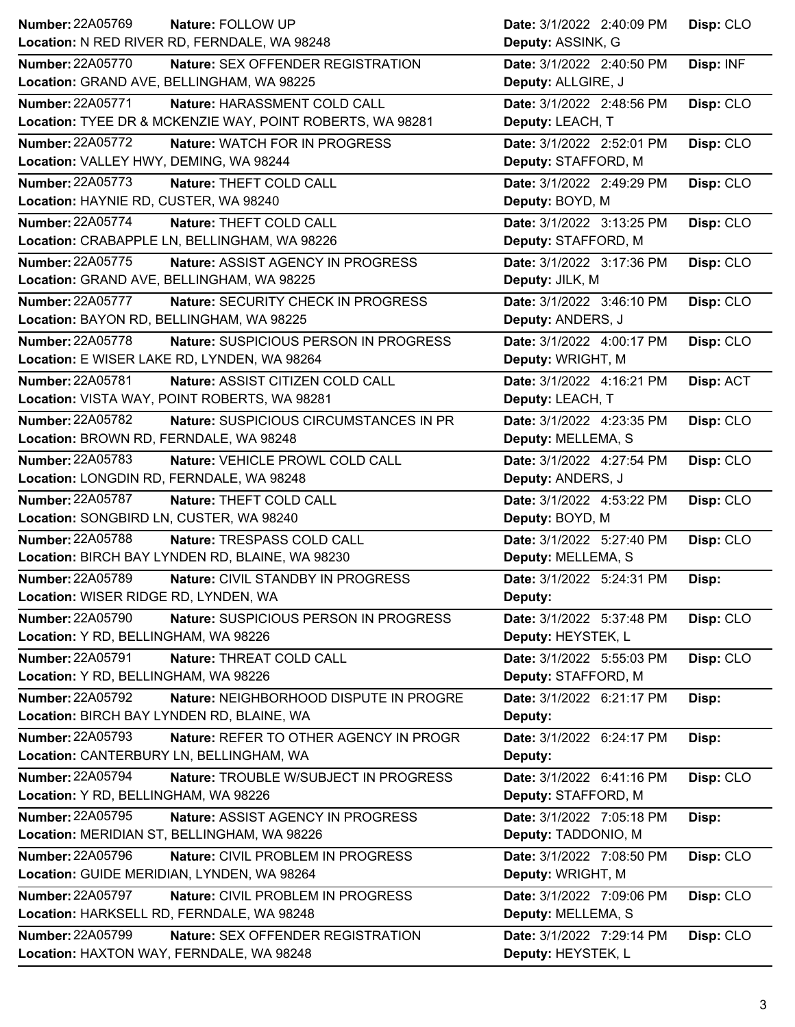| Number: 22A05769<br>Nature: FOLLOW UP                               | Date: 3/1/2022 2:40:09 PM<br>Disp: CLO |
|---------------------------------------------------------------------|----------------------------------------|
| Location: N RED RIVER RD, FERNDALE, WA 98248                        | Deputy: ASSINK, G                      |
| <b>Number: 22A05770</b><br>Nature: SEX OFFENDER REGISTRATION        | Disp: INF<br>Date: 3/1/2022 2:40:50 PM |
| Location: GRAND AVE, BELLINGHAM, WA 98225                           | Deputy: ALLGIRE, J                     |
| <b>Number: 22A05771</b><br>Nature: HARASSMENT COLD CALL             | Disp: CLO<br>Date: 3/1/2022 2:48:56 PM |
| Location: TYEE DR & MCKENZIE WAY, POINT ROBERTS, WA 98281           | Deputy: LEACH, T                       |
| <b>Number: 22A05772</b><br>Nature: WATCH FOR IN PROGRESS            | Date: 3/1/2022 2:52:01 PM<br>Disp: CLO |
| Location: VALLEY HWY, DEMING, WA 98244                              | Deputy: STAFFORD, M                    |
| <b>Number: 22A05773</b><br>Nature: THEFT COLD CALL                  | Date: 3/1/2022 2:49:29 PM<br>Disp: CLO |
| Location: HAYNIE RD, CUSTER, WA 98240                               | Deputy: BOYD, M                        |
| Number: 22A05774<br>Nature: THEFT COLD CALL                         | Date: 3/1/2022 3:13:25 PM<br>Disp: CLO |
| Location: CRABAPPLE LN, BELLINGHAM, WA 98226                        | Deputy: STAFFORD, M                    |
| Number: 22A05775<br>Nature: ASSIST AGENCY IN PROGRESS               | Date: 3/1/2022 3:17:36 PM<br>Disp: CLO |
| Location: GRAND AVE, BELLINGHAM, WA 98225                           | Deputy: JILK, M                        |
| <b>Number: 22A05777</b><br>Nature: SECURITY CHECK IN PROGRESS       | Date: 3/1/2022 3:46:10 PM<br>Disp: CLO |
| Location: BAYON RD, BELLINGHAM, WA 98225                            | Deputy: ANDERS, J                      |
| <b>Number: 22A05778</b><br>Nature: SUSPICIOUS PERSON IN PROGRESS    | Date: 3/1/2022 4:00:17 PM<br>Disp: CLO |
| Location: E WISER LAKE RD, LYNDEN, WA 98264                         | Deputy: WRIGHT, M                      |
| Number: 22A05781<br>Nature: ASSIST CITIZEN COLD CALL                | Date: 3/1/2022 4:16:21 PM<br>Disp: ACT |
| Location: VISTA WAY, POINT ROBERTS, WA 98281                        | Deputy: LEACH, T                       |
| <b>Number: 22A05782</b><br>Nature: SUSPICIOUS CIRCUMSTANCES IN PR   | Disp: CLO<br>Date: 3/1/2022 4:23:35 PM |
| Location: BROWN RD, FERNDALE, WA 98248                              | Deputy: MELLEMA, S                     |
| Number: 22A05783<br>Nature: VEHICLE PROWL COLD CALL                 | Date: 3/1/2022 4:27:54 PM<br>Disp: CLO |
| Location: LONGDIN RD, FERNDALE, WA 98248                            | Deputy: ANDERS, J                      |
| Number: 22A05787<br>Nature: THEFT COLD CALL                         | Date: 3/1/2022 4:53:22 PM<br>Disp: CLO |
| Location: SONGBIRD LN, CUSTER, WA 98240                             | Deputy: BOYD, M                        |
| Number: 22A05788<br>Nature: TRESPASS COLD CALL                      | Disp: CLO<br>Date: 3/1/2022 5:27:40 PM |
| Location: BIRCH BAY LYNDEN RD, BLAINE, WA 98230                     | Deputy: MELLEMA, S                     |
| <b>Number: 22A05789</b><br>Nature: CIVIL STANDBY IN PROGRESS        | Date: 3/1/2022 5:24:31 PM<br>Disp:     |
| Location: WISER RIDGE RD, LYNDEN, WA                                | <b>Deputy:</b>                         |
| <b>Number: 22A05790</b><br>Nature: SUSPICIOUS PERSON IN PROGRESS    | Disp: CLO<br>Date: 3/1/2022 5:37:48 PM |
| Location: Y RD, BELLINGHAM, WA 98226                                | Deputy: HEYSTEK, L                     |
| Number: 22A05791<br>Nature: THREAT COLD CALL                        | Date: 3/1/2022 5:55:03 PM<br>Disp: CLO |
| Location: Y RD, BELLINGHAM, WA 98226                                | Deputy: STAFFORD, M                    |
| Number: 22A05792<br>Nature: NEIGHBORHOOD DISPUTE IN PROGRE          | Date: 3/1/2022 6:21:17 PM<br>Disp:     |
| Location: BIRCH BAY LYNDEN RD, BLAINE, WA                           | Deputy:                                |
| <b>Number: 22A05793</b><br>Nature: REFER TO OTHER AGENCY IN PROGR   | Date: 3/1/2022 6:24:17 PM<br>Disp:     |
| Location: CANTERBURY LN, BELLINGHAM, WA                             | Deputy:                                |
| <b>Number: 22A05794</b><br>Nature: TROUBLE W/SUBJECT IN PROGRESS    | Date: 3/1/2022 6:41:16 PM<br>Disp: CLO |
| Location: Y RD, BELLINGHAM, WA 98226                                | Deputy: STAFFORD, M                    |
| <b>Number: 22A05795</b><br>Nature: ASSIST AGENCY IN PROGRESS        | Date: 3/1/2022 7:05:18 PM<br>Disp:     |
| Location: MERIDIAN ST, BELLINGHAM, WA 98226                         | Deputy: TADDONIO, M                    |
| Number: 22A05796<br>Nature: CIVIL PROBLEM IN PROGRESS               | Date: 3/1/2022 7:08:50 PM<br>Disp: CLO |
| Location: GUIDE MERIDIAN, LYNDEN, WA 98264                          | Deputy: WRIGHT, M                      |
| <b>Number: 22A05797</b><br>Nature: CIVIL PROBLEM IN PROGRESS        | Date: 3/1/2022 7:09:06 PM<br>Disp: CLO |
| Location: HARKSELL RD, FERNDALE, WA 98248                           | Deputy: MELLEMA, S                     |
| <b>Number: 22A05799</b><br><b>Nature: SEX OFFENDER REGISTRATION</b> | Date: 3/1/2022 7:29:14 PM<br>Disp: CLO |
| Location: HAXTON WAY, FERNDALE, WA 98248                            | Deputy: HEYSTEK, L                     |
|                                                                     |                                        |